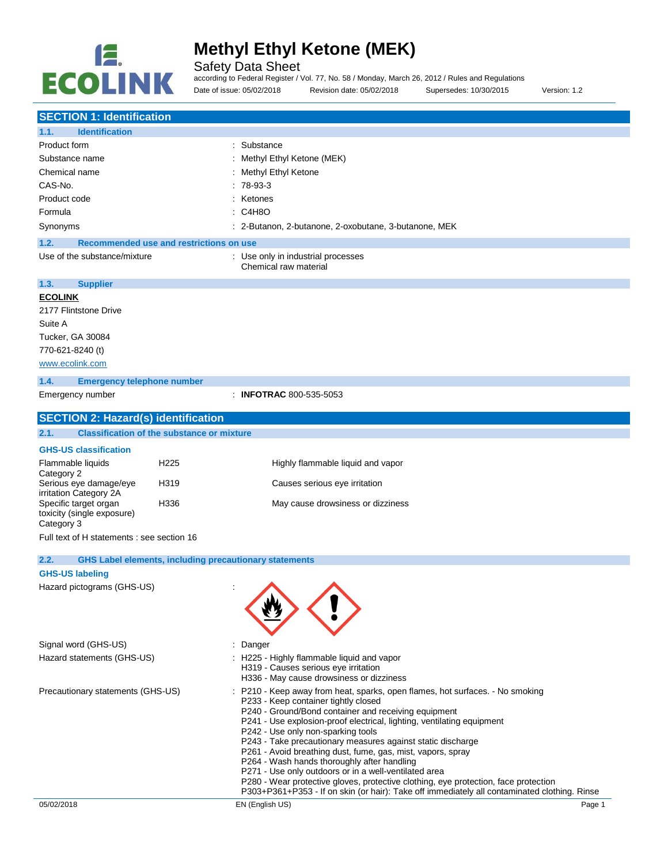

Safety Data Sheet

according to Federal Register / Vol. 77, No. 58 / Monday, March 26, 2012 / Rules and Regulations

Date of issue: 05/02/2018 Revision date: 05/02/2018 Supersedes: 10/30/2015 Version: 1.2

| <b>SECTION 1: Identification</b>                |                                                               |                                                                                                                                              |
|-------------------------------------------------|---------------------------------------------------------------|----------------------------------------------------------------------------------------------------------------------------------------------|
| <b>Identification</b><br>1.1.                   |                                                               |                                                                                                                                              |
| Product form                                    |                                                               | Substance                                                                                                                                    |
| Substance name                                  |                                                               | Methyl Ethyl Ketone (MEK)                                                                                                                    |
| Chemical name                                   |                                                               | Methyl Ethyl Ketone                                                                                                                          |
| CAS-No.                                         |                                                               | 78-93-3                                                                                                                                      |
| Product code                                    |                                                               | Ketones                                                                                                                                      |
| Formula                                         |                                                               | C4H8O                                                                                                                                        |
| Synonyms                                        |                                                               | : 2-Butanon, 2-butanone, 2-oxobutane, 3-butanone, MEK                                                                                        |
| 1.2.                                            | Recommended use and restrictions on use                       |                                                                                                                                              |
| Use of the substance/mixture                    |                                                               | : Use only in industrial processes                                                                                                           |
|                                                 |                                                               | Chemical raw material                                                                                                                        |
| 1.3.<br><b>Supplier</b>                         |                                                               |                                                                                                                                              |
| <b>ECOLINK</b>                                  |                                                               |                                                                                                                                              |
| 2177 Flintstone Drive                           |                                                               |                                                                                                                                              |
| Suite A                                         |                                                               |                                                                                                                                              |
| Tucker, GA 30084                                |                                                               |                                                                                                                                              |
| 770-621-8240 (t)                                |                                                               |                                                                                                                                              |
| www.ecolink.com                                 |                                                               |                                                                                                                                              |
| 1.4.<br><b>Emergency telephone number</b>       |                                                               |                                                                                                                                              |
| Emergency number                                |                                                               | : INFOTRAC 800-535-5053                                                                                                                      |
|                                                 |                                                               |                                                                                                                                              |
| <b>SECTION 2: Hazard(s) identification</b>      |                                                               |                                                                                                                                              |
| 2.1.                                            | <b>Classification of the substance or mixture</b>             |                                                                                                                                              |
| <b>GHS-US classification</b>                    |                                                               |                                                                                                                                              |
| Flammable liquids                               | H <sub>225</sub>                                              | Highly flammable liquid and vapor                                                                                                            |
| Category 2<br>Serious eye damage/eye            | H319                                                          | Causes serious eye irritation                                                                                                                |
| irritation Category 2A<br>Specific target organ | H336                                                          | May cause drowsiness or dizziness                                                                                                            |
| toxicity (single exposure)                      |                                                               |                                                                                                                                              |
| Category 3                                      |                                                               |                                                                                                                                              |
| Full text of H statements : see section 16      |                                                               |                                                                                                                                              |
| 2.2.                                            | <b>GHS Label elements, including precautionary statements</b> |                                                                                                                                              |
| <b>GHS-US labeling</b>                          |                                                               |                                                                                                                                              |
| Hazard pictograms (GHS-US)                      |                                                               | ↗                                                                                                                                            |
|                                                 |                                                               |                                                                                                                                              |
|                                                 |                                                               |                                                                                                                                              |
|                                                 |                                                               |                                                                                                                                              |
|                                                 |                                                               |                                                                                                                                              |
| Signal word (GHS-US)                            |                                                               | Danger                                                                                                                                       |
| Hazard statements (GHS-US)                      |                                                               | H225 - Highly flammable liquid and vapor                                                                                                     |
|                                                 |                                                               | H319 - Causes serious eye irritation<br>H336 - May cause drowsiness or dizziness                                                             |
| Precautionary statements (GHS-US)               |                                                               | P210 - Keep away from heat, sparks, open flames, hot surfaces. - No smoking                                                                  |
|                                                 |                                                               | P233 - Keep container tightly closed                                                                                                         |
|                                                 |                                                               | P240 - Ground/Bond container and receiving equipment                                                                                         |
|                                                 |                                                               | P241 - Use explosion-proof electrical, lighting, ventilating equipment                                                                       |
|                                                 |                                                               | P242 - Use only non-sparking tools<br>P243 - Take precautionary measures against static discharge                                            |
|                                                 |                                                               | P261 - Avoid breathing dust, fume, gas, mist, vapors, spray                                                                                  |
|                                                 |                                                               | P264 - Wash hands thoroughly after handling                                                                                                  |
|                                                 |                                                               | P271 - Use only outdoors or in a well-ventilated area<br>P280 - Wear protective gloves, protective clothing, eye protection, face protection |
|                                                 |                                                               | P303+P361+P353 - If on skin (or hair): Take off immediately all contaminated clothing. Rinse                                                 |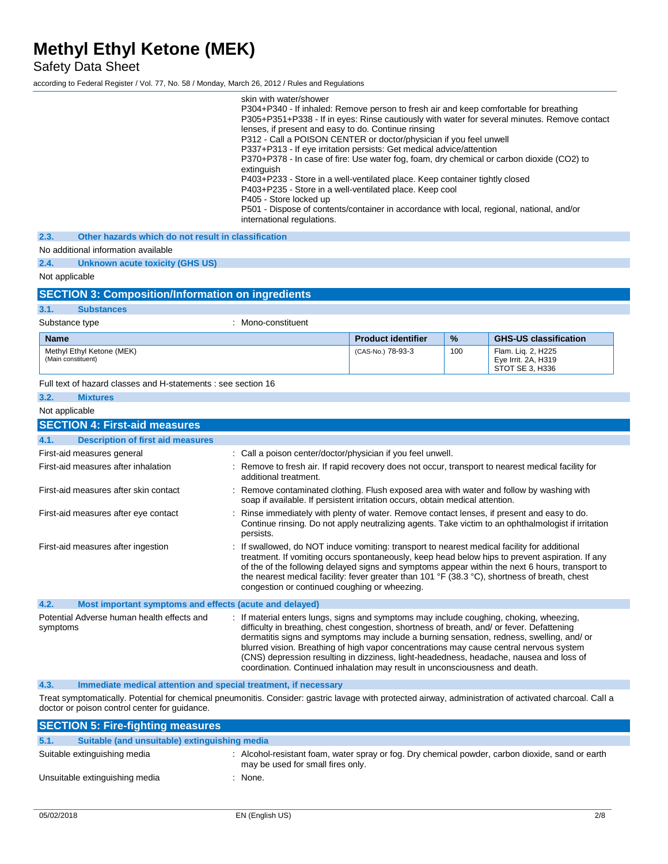Safety Data Sheet

according to Federal Register / Vol. 77, No. 58 / Monday, March 26, 2012 / Rules and Regulations

|                                                                                                                                                                                                          | skin with water/shower<br>P304+P340 - If inhaled: Remove person to fresh air and keep comfortable for breathing<br>lenses, if present and easy to do. Continue rinsing<br>P312 - Call a POISON CENTER or doctor/physician if you feel unwell<br>P337+P313 - If eye irritation persists: Get medical advice/attention<br>P370+P378 - In case of fire: Use water fog, foam, dry chemical or carbon dioxide (CO2) to<br>extinguish<br>P403+P233 - Store in a well-ventilated place. Keep container tightly closed<br>P403+P235 - Store in a well-ventilated place. Keep cool<br>P405 - Store locked up<br>P501 - Dispose of contents/container in accordance with local, regional, national, and/or<br>international regulations. |                           |     | P305+P351+P338 - If in eyes: Rinse cautiously with water for several minutes. Remove contact                                                                                                       |  |
|----------------------------------------------------------------------------------------------------------------------------------------------------------------------------------------------------------|--------------------------------------------------------------------------------------------------------------------------------------------------------------------------------------------------------------------------------------------------------------------------------------------------------------------------------------------------------------------------------------------------------------------------------------------------------------------------------------------------------------------------------------------------------------------------------------------------------------------------------------------------------------------------------------------------------------------------------|---------------------------|-----|----------------------------------------------------------------------------------------------------------------------------------------------------------------------------------------------------|--|
| 2.3.<br>Other hazards which do not result in classification                                                                                                                                              |                                                                                                                                                                                                                                                                                                                                                                                                                                                                                                                                                                                                                                                                                                                                |                           |     |                                                                                                                                                                                                    |  |
| No additional information available                                                                                                                                                                      |                                                                                                                                                                                                                                                                                                                                                                                                                                                                                                                                                                                                                                                                                                                                |                           |     |                                                                                                                                                                                                    |  |
| 2.4.<br>Unknown acute toxicity (GHS US)                                                                                                                                                                  |                                                                                                                                                                                                                                                                                                                                                                                                                                                                                                                                                                                                                                                                                                                                |                           |     |                                                                                                                                                                                                    |  |
| Not applicable                                                                                                                                                                                           |                                                                                                                                                                                                                                                                                                                                                                                                                                                                                                                                                                                                                                                                                                                                |                           |     |                                                                                                                                                                                                    |  |
| <b>SECTION 3: Composition/Information on ingredients</b>                                                                                                                                                 |                                                                                                                                                                                                                                                                                                                                                                                                                                                                                                                                                                                                                                                                                                                                |                           |     |                                                                                                                                                                                                    |  |
| 3.1.<br><b>Substances</b>                                                                                                                                                                                |                                                                                                                                                                                                                                                                                                                                                                                                                                                                                                                                                                                                                                                                                                                                |                           |     |                                                                                                                                                                                                    |  |
| Substance type                                                                                                                                                                                           | : Mono-constituent                                                                                                                                                                                                                                                                                                                                                                                                                                                                                                                                                                                                                                                                                                             |                           |     |                                                                                                                                                                                                    |  |
| <b>Name</b>                                                                                                                                                                                              |                                                                                                                                                                                                                                                                                                                                                                                                                                                                                                                                                                                                                                                                                                                                | <b>Product identifier</b> | %   | <b>GHS-US classification</b>                                                                                                                                                                       |  |
| Methyl Ethyl Ketone (MEK)<br>(Main constituent)                                                                                                                                                          |                                                                                                                                                                                                                                                                                                                                                                                                                                                                                                                                                                                                                                                                                                                                | (CAS-No.) 78-93-3         | 100 | Flam. Lig. 2, H225<br>Eye Irrit. 2A, H319<br>STOT SE 3, H336                                                                                                                                       |  |
| Full text of hazard classes and H-statements : see section 16                                                                                                                                            |                                                                                                                                                                                                                                                                                                                                                                                                                                                                                                                                                                                                                                                                                                                                |                           |     |                                                                                                                                                                                                    |  |
| 3.2.<br><b>Mixtures</b>                                                                                                                                                                                  |                                                                                                                                                                                                                                                                                                                                                                                                                                                                                                                                                                                                                                                                                                                                |                           |     |                                                                                                                                                                                                    |  |
| Not applicable                                                                                                                                                                                           |                                                                                                                                                                                                                                                                                                                                                                                                                                                                                                                                                                                                                                                                                                                                |                           |     |                                                                                                                                                                                                    |  |
| <b>SECTION 4: First-aid measures</b>                                                                                                                                                                     |                                                                                                                                                                                                                                                                                                                                                                                                                                                                                                                                                                                                                                                                                                                                |                           |     |                                                                                                                                                                                                    |  |
| 4.1.<br><b>Description of first aid measures</b>                                                                                                                                                         |                                                                                                                                                                                                                                                                                                                                                                                                                                                                                                                                                                                                                                                                                                                                |                           |     |                                                                                                                                                                                                    |  |
| First-aid measures general                                                                                                                                                                               | : Call a poison center/doctor/physician if you feel unwell.                                                                                                                                                                                                                                                                                                                                                                                                                                                                                                                                                                                                                                                                    |                           |     |                                                                                                                                                                                                    |  |
| First-aid measures after inhalation                                                                                                                                                                      | additional treatment.                                                                                                                                                                                                                                                                                                                                                                                                                                                                                                                                                                                                                                                                                                          |                           |     | : Remove to fresh air. If rapid recovery does not occur, transport to nearest medical facility for                                                                                                 |  |
| First-aid measures after skin contact                                                                                                                                                                    | : Remove contaminated clothing. Flush exposed area with water and follow by washing with<br>soap if available. If persistent irritation occurs, obtain medical attention.                                                                                                                                                                                                                                                                                                                                                                                                                                                                                                                                                      |                           |     |                                                                                                                                                                                                    |  |
| First-aid measures after eye contact                                                                                                                                                                     | : Rinse immediately with plenty of water. Remove contact lenses, if present and easy to do.<br>persists.                                                                                                                                                                                                                                                                                                                                                                                                                                                                                                                                                                                                                       |                           |     | Continue rinsing. Do not apply neutralizing agents. Take victim to an ophthalmologist if irritation                                                                                                |  |
| First-aid measures after ingestion                                                                                                                                                                       | : If swallowed, do NOT induce vomiting: transport to nearest medical facility for additional<br>the nearest medical facility: fever greater than 101 °F (38.3 °C), shortness of breath, chest<br>congestion or continued coughing or wheezing.                                                                                                                                                                                                                                                                                                                                                                                                                                                                                 |                           |     | treatment. If vomiting occurs spontaneously, keep head below hips to prevent aspiration. If any<br>of the of the following delayed signs and symptoms appear within the next 6 hours, transport to |  |
| 4.2.<br>Most important symptoms and effects (acute and delayed)                                                                                                                                          |                                                                                                                                                                                                                                                                                                                                                                                                                                                                                                                                                                                                                                                                                                                                |                           |     |                                                                                                                                                                                                    |  |
| Potential Adverse human health effects and<br>symptoms                                                                                                                                                   | : If material enters lungs, signs and symptoms may include coughing, choking, wheezing,<br>difficulty in breathing, chest congestion, shortness of breath, and/ or fever. Defattening<br>blurred vision. Breathing of high vapor concentrations may cause central nervous system<br>(CNS) depression resulting in dizziness, light-headedness, headache, nausea and loss of<br>coordination. Continued inhalation may result in unconsciousness and death.                                                                                                                                                                                                                                                                     |                           |     | dermatitis signs and symptoms may include a burning sensation, redness, swelling, and/ or                                                                                                          |  |
| 4.3.<br>Immediate medical attention and special treatment, if necessary                                                                                                                                  |                                                                                                                                                                                                                                                                                                                                                                                                                                                                                                                                                                                                                                                                                                                                |                           |     |                                                                                                                                                                                                    |  |
| Treat symptomatically. Potential for chemical pneumonitis. Consider: gastric lavage with protected airway, administration of activated charcoal. Call a<br>doctor or poison control center for guidance. |                                                                                                                                                                                                                                                                                                                                                                                                                                                                                                                                                                                                                                                                                                                                |                           |     |                                                                                                                                                                                                    |  |

|      | <b>SECTION 5: Fire-fighting measures</b>      |                                                                                                                                       |
|------|-----------------------------------------------|---------------------------------------------------------------------------------------------------------------------------------------|
| 5.1. | Suitable (and unsuitable) extinguishing media |                                                                                                                                       |
|      | Suitable extinguishing media                  | : Alcohol-resistant foam, water spray or fog. Dry chemical powder, carbon dioxide, sand or earth<br>may be used for small fires only. |
|      | Unsuitable extinguishing media                | · None.                                                                                                                               |
|      |                                               |                                                                                                                                       |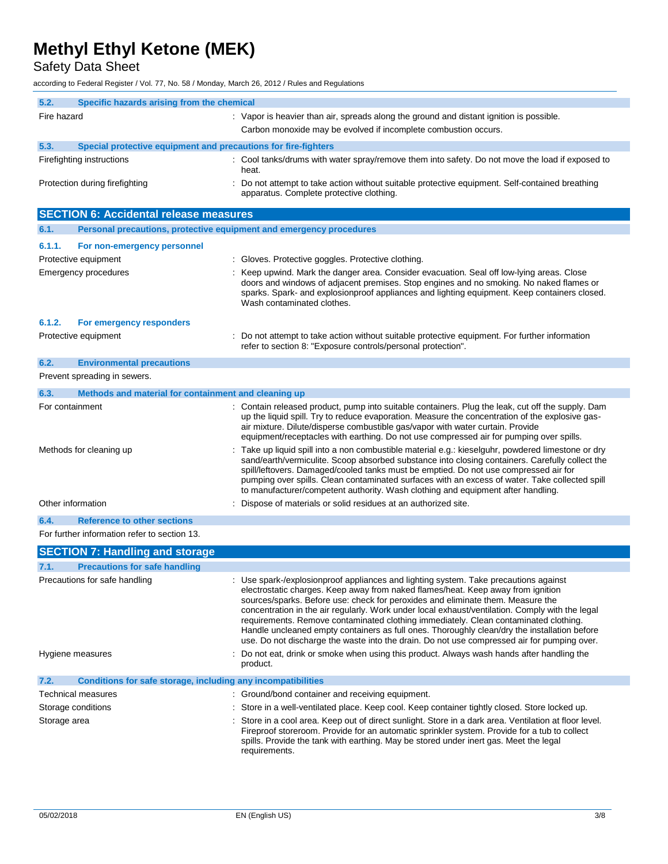Safety Data Sheet

according to Federal Register / Vol. 77, No. 58 / Monday, March 26, 2012 / Rules and Regulations

| 5.2.<br>Specific hazards arising from the chemical                          |                                                                                                                                                                                                                                                                                                                                                                                                                                                                                                                                                                                                                                                       |  |
|-----------------------------------------------------------------------------|-------------------------------------------------------------------------------------------------------------------------------------------------------------------------------------------------------------------------------------------------------------------------------------------------------------------------------------------------------------------------------------------------------------------------------------------------------------------------------------------------------------------------------------------------------------------------------------------------------------------------------------------------------|--|
| Fire hazard                                                                 | : Vapor is heavier than air, spreads along the ground and distant ignition is possible.                                                                                                                                                                                                                                                                                                                                                                                                                                                                                                                                                               |  |
|                                                                             | Carbon monoxide may be evolved if incomplete combustion occurs.                                                                                                                                                                                                                                                                                                                                                                                                                                                                                                                                                                                       |  |
|                                                                             |                                                                                                                                                                                                                                                                                                                                                                                                                                                                                                                                                                                                                                                       |  |
| 5.3.<br>Special protective equipment and precautions for fire-fighters      |                                                                                                                                                                                                                                                                                                                                                                                                                                                                                                                                                                                                                                                       |  |
| Firefighting instructions                                                   | : Cool tanks/drums with water spray/remove them into safety. Do not move the load if exposed to<br>heat.                                                                                                                                                                                                                                                                                                                                                                                                                                                                                                                                              |  |
| Protection during firefighting                                              | Do not attempt to take action without suitable protective equipment. Self-contained breathing<br>apparatus. Complete protective clothing.                                                                                                                                                                                                                                                                                                                                                                                                                                                                                                             |  |
| <b>SECTION 6: Accidental release measures</b>                               |                                                                                                                                                                                                                                                                                                                                                                                                                                                                                                                                                                                                                                                       |  |
| Personal precautions, protective equipment and emergency procedures<br>6.1. |                                                                                                                                                                                                                                                                                                                                                                                                                                                                                                                                                                                                                                                       |  |
| 6.1.1.<br>For non-emergency personnel                                       |                                                                                                                                                                                                                                                                                                                                                                                                                                                                                                                                                                                                                                                       |  |
| Protective equipment                                                        | : Gloves. Protective goggles. Protective clothing.                                                                                                                                                                                                                                                                                                                                                                                                                                                                                                                                                                                                    |  |
| Emergency procedures                                                        | Keep upwind. Mark the danger area. Consider evacuation. Seal off low-lying areas. Close                                                                                                                                                                                                                                                                                                                                                                                                                                                                                                                                                               |  |
|                                                                             | doors and windows of adjacent premises. Stop engines and no smoking. No naked flames or<br>sparks. Spark- and explosionproof appliances and lighting equipment. Keep containers closed.<br>Wash contaminated clothes.                                                                                                                                                                                                                                                                                                                                                                                                                                 |  |
| 6.1.2.<br>For emergency responders                                          |                                                                                                                                                                                                                                                                                                                                                                                                                                                                                                                                                                                                                                                       |  |
| Protective equipment                                                        | Do not attempt to take action without suitable protective equipment. For further information<br>refer to section 8: "Exposure controls/personal protection".                                                                                                                                                                                                                                                                                                                                                                                                                                                                                          |  |
| 6.2.<br><b>Environmental precautions</b>                                    |                                                                                                                                                                                                                                                                                                                                                                                                                                                                                                                                                                                                                                                       |  |
| Prevent spreading in sewers.                                                |                                                                                                                                                                                                                                                                                                                                                                                                                                                                                                                                                                                                                                                       |  |
| Methods and material for containment and cleaning up<br>6.3.                |                                                                                                                                                                                                                                                                                                                                                                                                                                                                                                                                                                                                                                                       |  |
| For containment                                                             | : Contain released product, pump into suitable containers. Plug the leak, cut off the supply. Dam                                                                                                                                                                                                                                                                                                                                                                                                                                                                                                                                                     |  |
|                                                                             | up the liquid spill. Try to reduce evaporation. Measure the concentration of the explosive gas-<br>air mixture. Dilute/disperse combustible gas/vapor with water curtain. Provide<br>equipment/receptacles with earthing. Do not use compressed air for pumping over spills.                                                                                                                                                                                                                                                                                                                                                                          |  |
| Methods for cleaning up                                                     | Take up liquid spill into a non combustible material e.g.: kieselguhr, powdered limestone or dry<br>sand/earth/vermiculite. Scoop absorbed substance into closing containers. Carefully collect the<br>spill/leftovers. Damaged/cooled tanks must be emptied. Do not use compressed air for<br>pumping over spills. Clean contaminated surfaces with an excess of water. Take collected spill<br>to manufacturer/competent authority. Wash clothing and equipment after handling.                                                                                                                                                                     |  |
| Other information                                                           | Dispose of materials or solid residues at an authorized site.                                                                                                                                                                                                                                                                                                                                                                                                                                                                                                                                                                                         |  |
| <b>Reference to other sections</b><br>6.4.                                  |                                                                                                                                                                                                                                                                                                                                                                                                                                                                                                                                                                                                                                                       |  |
| For further information refer to section 13.                                |                                                                                                                                                                                                                                                                                                                                                                                                                                                                                                                                                                                                                                                       |  |
| <b>SECTION 7: Handling and storage</b>                                      |                                                                                                                                                                                                                                                                                                                                                                                                                                                                                                                                                                                                                                                       |  |
| <b>Precautions for safe handling</b><br>7.1.                                |                                                                                                                                                                                                                                                                                                                                                                                                                                                                                                                                                                                                                                                       |  |
| Precautions for safe handling                                               | : Use spark-/explosionproof appliances and lighting system. Take precautions against<br>electrostatic charges. Keep away from naked flames/heat. Keep away from ignition<br>sources/sparks. Before use: check for peroxides and eliminate them. Measure the<br>concentration in the air regularly. Work under local exhaust/ventilation. Comply with the legal<br>requirements. Remove contaminated clothing immediately. Clean contaminated clothing.<br>Handle uncleaned empty containers as full ones. Thoroughly clean/dry the installation before<br>use. Do not discharge the waste into the drain. Do not use compressed air for pumping over. |  |
| Hygiene measures                                                            | Do not eat, drink or smoke when using this product. Always wash hands after handling the<br>product.                                                                                                                                                                                                                                                                                                                                                                                                                                                                                                                                                  |  |
| Conditions for safe storage, including any incompatibilities<br>7.2.        |                                                                                                                                                                                                                                                                                                                                                                                                                                                                                                                                                                                                                                                       |  |
| <b>Technical measures</b>                                                   | : Ground/bond container and receiving equipment.                                                                                                                                                                                                                                                                                                                                                                                                                                                                                                                                                                                                      |  |
| Storage conditions                                                          | Store in a well-ventilated place. Keep cool. Keep container tightly closed. Store locked up.                                                                                                                                                                                                                                                                                                                                                                                                                                                                                                                                                          |  |
| Storage area                                                                | : Store in a cool area. Keep out of direct sunlight. Store in a dark area. Ventilation at floor level.<br>Fireproof storeroom. Provide for an automatic sprinkler system. Provide for a tub to collect<br>spills. Provide the tank with earthing. May be stored under inert gas. Meet the legal<br>requirements.                                                                                                                                                                                                                                                                                                                                      |  |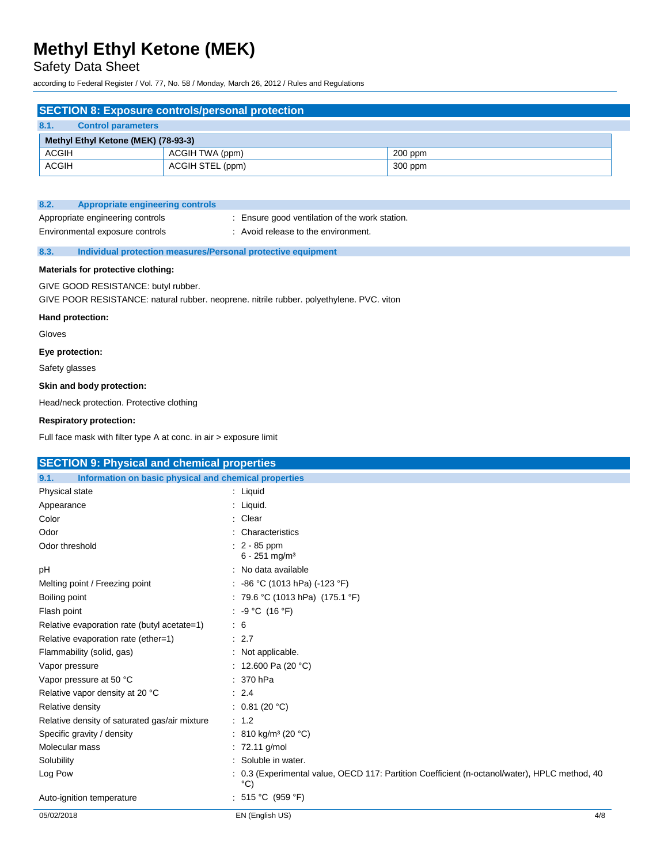## Safety Data Sheet

according to Federal Register / Vol. 77, No. 58 / Monday, March 26, 2012 / Rules and Regulations

|              |                                     | <b>SECTION 8: Exposure controls/personal protection</b> |         |
|--------------|-------------------------------------|---------------------------------------------------------|---------|
| 8.1.         | <b>Control parameters</b>           |                                                         |         |
|              | Methyl Ethyl Ketone (MEK) (78-93-3) |                                                         |         |
| <b>ACGIH</b> |                                     | ACGIH TWA (ppm)                                         | 200 ppm |
| <b>ACGIH</b> |                                     | ACGIH STEL (ppm)                                        | 300 ppm |

| 8.2. | Appropriate engineering controls                                    |                                                                                     |
|------|---------------------------------------------------------------------|-------------------------------------------------------------------------------------|
|      | Appropriate engineering controls<br>Environmental exposure controls | Ensure good ventilation of the work station.<br>: Avoid release to the environment. |
| 8.3. | Individual protection measures/Personal protective equipment        |                                                                                     |

#### **Materials for protective clothing:**

GIVE GOOD RESISTANCE: butyl rubber.

GIVE POOR RESISTANCE: natural rubber. neoprene. nitrile rubber. polyethylene. PVC. viton

#### **Hand protection:**

Gloves

#### **Eye protection:**

Safety glasses

#### **Skin and body protection:**

Head/neck protection. Protective clothing

#### **Respiratory protection:**

Full face mask with filter type A at conc. in air > exposure limit

| <b>SECTION 9: Physical and chemical properties</b>            |                                                                                                                  |     |
|---------------------------------------------------------------|------------------------------------------------------------------------------------------------------------------|-----|
| Information on basic physical and chemical properties<br>9.1. |                                                                                                                  |     |
| Physical state                                                | : Liquid                                                                                                         |     |
| Appearance                                                    | : Liquid.                                                                                                        |     |
| Color                                                         | : Clear                                                                                                          |     |
| Odor                                                          | : Characteristics                                                                                                |     |
| Odor threshold                                                | $: 2 - 85$ ppm<br>$6 - 251$ mg/m <sup>3</sup>                                                                    |     |
| рH                                                            | : No data available                                                                                              |     |
| Melting point / Freezing point                                | : -86 °C (1013 hPa) (-123 °F)                                                                                    |     |
| Boiling point                                                 | : 79.6 °C (1013 hPa) (175.1 °F)                                                                                  |     |
| Flash point                                                   | : $-9 °C$ (16 °F)                                                                                                |     |
| Relative evaporation rate (butyl acetate=1)                   | $\therefore$ 6                                                                                                   |     |
| Relative evaporation rate (ether=1)                           | $\therefore$ 2.7                                                                                                 |     |
| Flammability (solid, gas)                                     | : Not applicable.                                                                                                |     |
| Vapor pressure                                                | : 12.600 Pa (20 °C)                                                                                              |     |
| Vapor pressure at 50 °C                                       | $: 370$ hPa                                                                                                      |     |
| Relative vapor density at 20 °C                               | : 2.4                                                                                                            |     |
| Relative density                                              | : $0.81(20 °C)$                                                                                                  |     |
| Relative density of saturated gas/air mixture                 | : 1.2                                                                                                            |     |
| Specific gravity / density                                    | : 810 kg/m <sup>3</sup> (20 °C)                                                                                  |     |
| Molecular mass                                                | $: 72.11$ g/mol                                                                                                  |     |
| Solubility                                                    | : Soluble in water.                                                                                              |     |
| Log Pow                                                       | : 0.3 (Experimental value, OECD 117: Partition Coefficient (n-octanol/water), HPLC method, 40<br>$\rm ^{\circ}C$ |     |
| Auto-ignition temperature                                     | : 515 °C (959 °F)                                                                                                |     |
| 05/02/2018                                                    | EN (English US)                                                                                                  | 4/8 |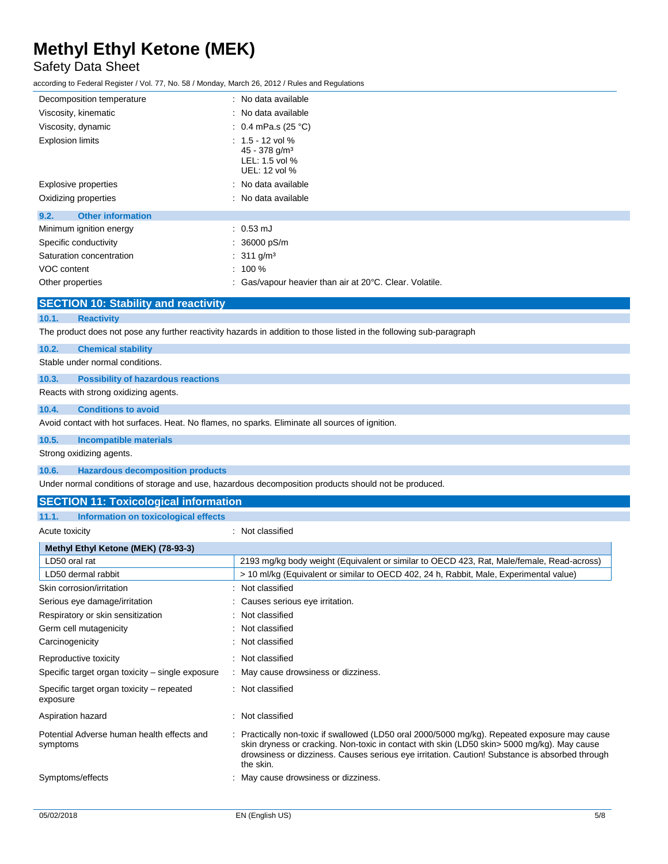## Safety Data Sheet

according to Federal Register / Vol. 77, No. 58 / Monday, March 26, 2012 / Rules and Regulations

| Decomposition temperature        | : No data available                                                                  |
|----------------------------------|--------------------------------------------------------------------------------------|
| Viscosity, kinematic             | : No data available                                                                  |
| Viscosity, dynamic               | : 0.4 mPa.s (25 °C)                                                                  |
| <b>Explosion limits</b>          | $: 1.5 - 12$ vol %<br>45 - 378 g/m <sup>3</sup><br>$LEL: 1.5$ vol %<br>UEL: 12 vol % |
| Explosive properties             | : No data available                                                                  |
| Oxidizing properties             | : No data available                                                                  |
| <b>Other information</b><br>9.2. |                                                                                      |
| Minimum ignition energy          | $: 0.53 \text{ mJ}$                                                                  |
| Specific conductivity            | $: 36000 \text{ pS/m}$                                                               |
| Saturation concentration         | : 311 g/m <sup>3</sup>                                                               |
| VOC content                      | $: 100 \%$                                                                           |
| Other properties                 | : Gas/vapour heavier than air at 20°C. Clear. Volatile.                              |

### **SECTION 10: Stability and reactivity**

### **10.1. Reactivity**

The product does not pose any further reactivity hazards in addition to those listed in the following sub-paragraph

## **10.2. Chemical stability**

Stable under normal conditions.

### **10.3. Possibility of hazardous reactions**

Reacts with strong oxidizing agents.

### **10.4. Conditions to avoid**

Avoid contact with hot surfaces. Heat. No flames, no sparks. Eliminate all sources of ignition.

### **10.5. Incompatible materials**

Strong oxidizing agents.

#### **10.6. Hazardous decomposition products**

Under normal conditions of storage and use, hazardous decomposition products should not be produced.

### **SECTION 11: Toxicological information**

| Information on toxicological effects<br>11.1.          |                                                                                                                                                                                                                                                                                                             |
|--------------------------------------------------------|-------------------------------------------------------------------------------------------------------------------------------------------------------------------------------------------------------------------------------------------------------------------------------------------------------------|
| Acute toxicity                                         | : Not classified                                                                                                                                                                                                                                                                                            |
| Methyl Ethyl Ketone (MEK) (78-93-3)                    |                                                                                                                                                                                                                                                                                                             |
| LD50 oral rat                                          | 2193 mg/kg body weight (Equivalent or similar to OECD 423, Rat, Male/female, Read-across)                                                                                                                                                                                                                   |
| LD50 dermal rabbit                                     | > 10 ml/kg (Equivalent or similar to OECD 402, 24 h, Rabbit, Male, Experimental value)                                                                                                                                                                                                                      |
| Skin corrosion/irritation                              | : Not classified                                                                                                                                                                                                                                                                                            |
| Serious eye damage/irritation                          | : Causes serious eye irritation.                                                                                                                                                                                                                                                                            |
| Respiratory or skin sensitization                      | : Not classified                                                                                                                                                                                                                                                                                            |
| Germ cell mutagenicity                                 | : Not classified                                                                                                                                                                                                                                                                                            |
| Carcinogenicity                                        | : Not classified                                                                                                                                                                                                                                                                                            |
| Reproductive toxicity                                  | : Not classified                                                                                                                                                                                                                                                                                            |
| Specific target organ toxicity – single exposure       | : May cause drowsiness or dizziness.                                                                                                                                                                                                                                                                        |
| Specific target organ toxicity – repeated<br>exposure  | : Not classified                                                                                                                                                                                                                                                                                            |
| Aspiration hazard                                      | : Not classified                                                                                                                                                                                                                                                                                            |
| Potential Adverse human health effects and<br>symptoms | : Practically non-toxic if swallowed (LD50 oral 2000/5000 mg/kg). Repeated exposure may cause<br>skin dryness or cracking. Non-toxic in contact with skin (LD50 skin> 5000 mg/kg). May cause<br>drowsiness or dizziness. Causes serious eye irritation. Caution! Substance is absorbed through<br>the skin. |
| Symptoms/effects                                       | : May cause drowsiness or dizziness.                                                                                                                                                                                                                                                                        |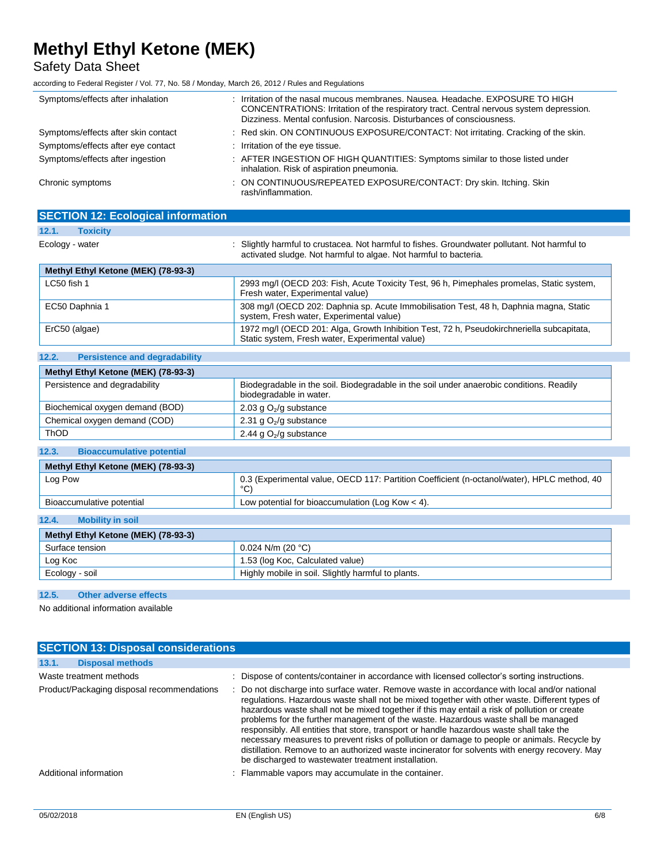Safety Data Sheet

according to Federal Register / Vol. 77, No. 58 / Monday, March 26, 2012 / Rules and Regulations

| Symptoms/effects after inhalation   | Irritation of the nasal mucous membranes, Nausea, Headache, EXPOSURE TO HIGH<br>CONCENTRATIONS: Irritation of the respiratory tract. Central nervous system depression.<br>Dizziness, Mental confusion, Narcosis, Disturbances of consciousness. |
|-------------------------------------|--------------------------------------------------------------------------------------------------------------------------------------------------------------------------------------------------------------------------------------------------|
| Symptoms/effects after skin contact | : Red skin. ON CONTINUOUS EXPOSURE/CONTACT: Not irritating. Cracking of the skin.                                                                                                                                                                |
| Symptoms/effects after eye contact  | : Irritation of the eye tissue.                                                                                                                                                                                                                  |
| Symptoms/effects after ingestion    | : AFTER INGESTION OF HIGH QUANTITIES: Symptoms similar to those listed under<br>inhalation. Risk of aspiration pneumonia.                                                                                                                        |
| Chronic symptoms                    | : ON CONTINUOUS/REPEATED EXPOSURE/CONTACT: Dry skin. Itching. Skin<br>rash/inflammation.                                                                                                                                                         |

| <b>SECTION 12: Ecological information</b> |                                                                                                                                                                   |
|-------------------------------------------|-------------------------------------------------------------------------------------------------------------------------------------------------------------------|
| 12.1.<br><b>Toxicity</b>                  |                                                                                                                                                                   |
| Ecology - water                           | : Slightly harmful to crustacea. Not harmful to fishes. Groundwater pollutant. Not harmful to<br>activated sludge. Not harmful to algae. Not harmful to bacteria. |
| Methyl Ethyl Ketone (MEK) (78-93-3)       |                                                                                                                                                                   |
| LC50 fish 1                               | 2993 mg/l (OECD 203: Fish, Acute Toxicity Test, 96 h, Pimephales promelas, Static system,<br>Fresh water, Experimental value)                                     |
| EC50 Daphnia 1                            | 308 mg/l (OECD 202: Daphnia sp. Acute Immobilisation Test, 48 h, Daphnia magna, Static<br>system, Fresh water, Experimental value)                                |
| ErC50 (algae)                             | 1972 mg/l (OECD 201: Alga, Growth Inhibition Test, 72 h, Pseudokirchneriella subcapitata,<br>Static system, Fresh water, Experimental value)                      |

| 12.2.<br><b>Persistence and degradability</b> |                                                                                                                     |
|-----------------------------------------------|---------------------------------------------------------------------------------------------------------------------|
| Methyl Ethyl Ketone (MEK) (78-93-3)           |                                                                                                                     |
| Persistence and degradability                 | Biodegradable in the soil. Biodegradable in the soil under anaerobic conditions. Readily<br>biodegradable in water. |
| Biochemical oxygen demand (BOD)               | 2.03 g $O_2$ /g substance                                                                                           |
| Chemical oxygen demand (COD)                  | 2.31 g $O_2$ /g substance                                                                                           |
| <b>ThOD</b>                                   | 2.44 g $O_2$ /g substance                                                                                           |
| 12.3.<br><b>Bioaccumulative potential</b>     |                                                                                                                     |
| Methyl Ethyl Ketone (MEK) (78-93-3)           |                                                                                                                     |
| Log Pow                                       | 0.3 (Experimental value, OECD 117: Partition Coefficient (n-octanol/water), HPLC method, 40<br>$^{\circ}$ C)        |
| Bioaccumulative potential                     | Low potential for bioaccumulation (Log Kow $<$ 4).                                                                  |
| 12.4.<br><b>Mobility in soil</b>              |                                                                                                                     |
| Methyl Ethyl Ketone (MEK) (78-93-3)           |                                                                                                                     |
| Surface tension                               | $0.024$ N/m (20 °C)                                                                                                 |
| Log Koc                                       | 1.53 (log Koc, Calculated value)                                                                                    |
| Ecology - soil                                | Highly mobile in soil. Slightly harmful to plants.                                                                  |

**12.5. Other adverse effects**

No additional information available

| <b>SECTION 13: Disposal considerations</b>                            |                                                                                                                                                                                                                                                                                                                                                                                                                                                                                                                                                                                                                                         |  |  |
|-----------------------------------------------------------------------|-----------------------------------------------------------------------------------------------------------------------------------------------------------------------------------------------------------------------------------------------------------------------------------------------------------------------------------------------------------------------------------------------------------------------------------------------------------------------------------------------------------------------------------------------------------------------------------------------------------------------------------------|--|--|
| <b>Disposal methods</b><br>13.1.                                      |                                                                                                                                                                                                                                                                                                                                                                                                                                                                                                                                                                                                                                         |  |  |
| Waste treatment methods<br>Product/Packaging disposal recommendations | : Dispose of contents/container in accordance with licensed collector's sorting instructions.<br>: Do not discharge into surface water. Remove waste in accordance with local and/or national                                                                                                                                                                                                                                                                                                                                                                                                                                           |  |  |
|                                                                       | regulations. Hazardous waste shall not be mixed together with other waste. Different types of<br>hazardous waste shall not be mixed together if this may entail a risk of pollution or create<br>problems for the further management of the waste. Hazardous waste shall be managed<br>responsibly. All entities that store, transport or handle hazardous waste shall take the<br>necessary measures to prevent risks of pollution or damage to people or animals. Recycle by<br>distillation. Remove to an authorized waste incinerator for solvents with energy recovery. May<br>be discharged to wastewater treatment installation. |  |  |
| Additional information                                                | : Flammable vapors may accumulate in the container.                                                                                                                                                                                                                                                                                                                                                                                                                                                                                                                                                                                     |  |  |
|                                                                       |                                                                                                                                                                                                                                                                                                                                                                                                                                                                                                                                                                                                                                         |  |  |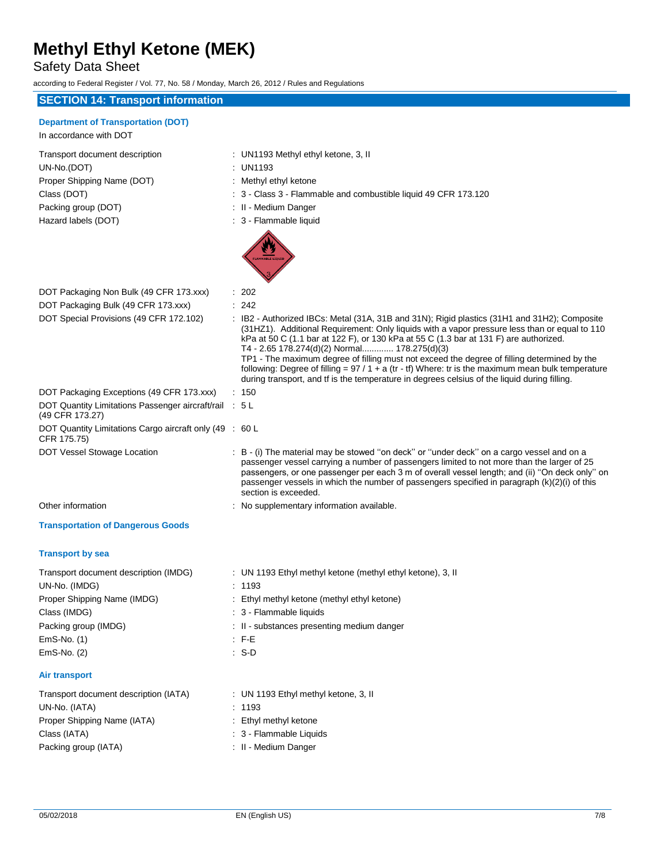## Safety Data Sheet

according to Federal Register / Vol. 77, No. 58 / Monday, March 26, 2012 / Rules and Regulations

### **SECTION 14: Transport information**

|  | <b>Department of Transportation (DOT)</b> |  |
|--|-------------------------------------------|--|

| In accordance with DOT         |  |
|--------------------------------|--|
| Transport document description |  |
| UN-No.(DOT)                    |  |
| Proper Shipping Name (DOT)     |  |
| Class (DOT)                    |  |
| Packing group (DOT)            |  |
| Hazard labels (DOT)            |  |

: UN1193 Methyl ethyl ketone, 3, II

- : UN1193
- : Methyl ethyl ketone
- : 3 Class 3 Flammable and combustible liquid 49 CFR 173.120
- : II Medium Danger
- : 3 Flammable liquid



| DOT Packaging Non Bulk (49 CFR 173.xxx)                                   | $\therefore$ 202                                                                                                                                                                                                                                                                                                                                                                                                                                                                                                                                                                                                                            |
|---------------------------------------------------------------------------|---------------------------------------------------------------------------------------------------------------------------------------------------------------------------------------------------------------------------------------------------------------------------------------------------------------------------------------------------------------------------------------------------------------------------------------------------------------------------------------------------------------------------------------------------------------------------------------------------------------------------------------------|
| DOT Packaging Bulk (49 CFR 173.xxx)                                       | : 242                                                                                                                                                                                                                                                                                                                                                                                                                                                                                                                                                                                                                                       |
| DOT Special Provisions (49 CFR 172.102)                                   | : IB2 - Authorized IBCs: Metal (31A, 31B and 31N); Rigid plastics (31H1 and 31H2); Composite<br>(31HZ1). Additional Requirement: Only liquids with a vapor pressure less than or equal to 110<br>kPa at 50 C (1.1 bar at 122 F), or 130 kPa at 55 C (1.3 bar at 131 F) are authorized.<br>T4 - 2.65 178.274(d)(2) Normal 178.275(d)(3)<br>TP1 - The maximum degree of filling must not exceed the degree of filling determined by the<br>following: Degree of filling = $97/1 + a$ (tr - tf) Where: tr is the maximum mean bulk temperature<br>during transport, and tf is the temperature in degrees celsius of the liquid during filling. |
| DOT Packaging Exceptions (49 CFR 173.xxx)                                 | : 150                                                                                                                                                                                                                                                                                                                                                                                                                                                                                                                                                                                                                                       |
| DOT Quantity Limitations Passenger aircraft/rail : 5 L<br>(49 CFR 173.27) |                                                                                                                                                                                                                                                                                                                                                                                                                                                                                                                                                                                                                                             |
| DOT Quantity Limitations Cargo aircraft only (49 : 60 L<br>CFR 175.75)    |                                                                                                                                                                                                                                                                                                                                                                                                                                                                                                                                                                                                                                             |
| DOT Vessel Stowage Location                                               | : B - (i) The material may be stowed "on deck" or "under deck" on a cargo vessel and on a<br>passenger vessel carrying a number of passengers limited to not more than the larger of 25<br>passengers, or one passenger per each 3 m of overall vessel length; and (ii) "On deck only" on<br>passenger vessels in which the number of passengers specified in paragraph $(k)(2)(i)$ of this<br>section is exceeded.                                                                                                                                                                                                                         |
| Other information                                                         | : No supplementary information available.                                                                                                                                                                                                                                                                                                                                                                                                                                                                                                                                                                                                   |
| <b>Transportation of Dangerous Goods</b>                                  |                                                                                                                                                                                                                                                                                                                                                                                                                                                                                                                                                                                                                                             |
| <b>Transport by sea</b>                                                   |                                                                                                                                                                                                                                                                                                                                                                                                                                                                                                                                                                                                                                             |
| Transport document description (IMDG)                                     | : UN 1193 Ethyl methyl ketone (methyl ethyl ketone), 3, II                                                                                                                                                                                                                                                                                                                                                                                                                                                                                                                                                                                  |
| UN-No. (IMDG)                                                             | : 1193                                                                                                                                                                                                                                                                                                                                                                                                                                                                                                                                                                                                                                      |
| Proper Shipping Name (IMDG)                                               | : Ethyl methyl ketone (methyl ethyl ketone)                                                                                                                                                                                                                                                                                                                                                                                                                                                                                                                                                                                                 |
| Class (IMDG)                                                              | : 3 - Flammable liquids                                                                                                                                                                                                                                                                                                                                                                                                                                                                                                                                                                                                                     |
| Packing group (IMDG)                                                      | : II - substances presenting medium danger                                                                                                                                                                                                                                                                                                                                                                                                                                                                                                                                                                                                  |
| EmS-No. (1)                                                               | $E = F - E$                                                                                                                                                                                                                                                                                                                                                                                                                                                                                                                                                                                                                                 |

### **Air transport**

| Transport document description (IATA) | : UN 1193 Ethyl methyl ketone, 3, II |
|---------------------------------------|--------------------------------------|
| UN-No. (IATA)                         | : 1193                               |
| Proper Shipping Name (IATA)           | : Ethyl methyl ketone                |
| Class (IATA)                          | : 3 - Flammable Liquids              |
| Packing group (IATA)                  | : II - Medium Danger                 |

EmS-No. (2) : S-D